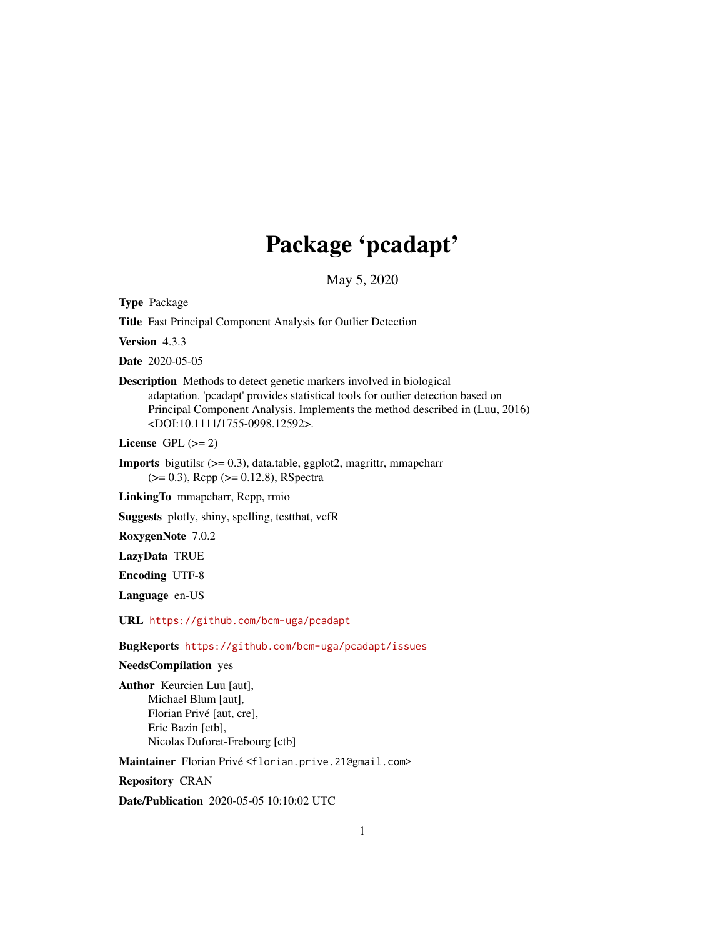# Package 'pcadapt'

May 5, 2020

Type Package

Title Fast Principal Component Analysis for Outlier Detection

Version 4.3.3

Date 2020-05-05

Description Methods to detect genetic markers involved in biological adaptation. 'pcadapt' provides statistical tools for outlier detection based on Principal Component Analysis. Implements the method described in (Luu, 2016) <DOI:10.1111/1755-0998.12592>.

License GPL  $(>= 2)$ 

**Imports** bigutilsr  $(>= 0.3)$ , data.table, ggplot2, magrittr, mmapcharr (>= 0.3), Rcpp (>= 0.12.8), RSpectra

LinkingTo mmapcharr, Rcpp, rmio

Suggests plotly, shiny, spelling, testthat, vcfR

RoxygenNote 7.0.2

LazyData TRUE

Encoding UTF-8

Language en-US

URL <https://github.com/bcm-uga/pcadapt>

BugReports <https://github.com/bcm-uga/pcadapt/issues>

NeedsCompilation yes

Author Keurcien Luu [aut], Michael Blum [aut], Florian Privé [aut, cre], Eric Bazin [ctb], Nicolas Duforet-Frebourg [ctb]

Maintainer Florian Privé <florian.prive.21@gmail.com>

Repository CRAN

Date/Publication 2020-05-05 10:10:02 UTC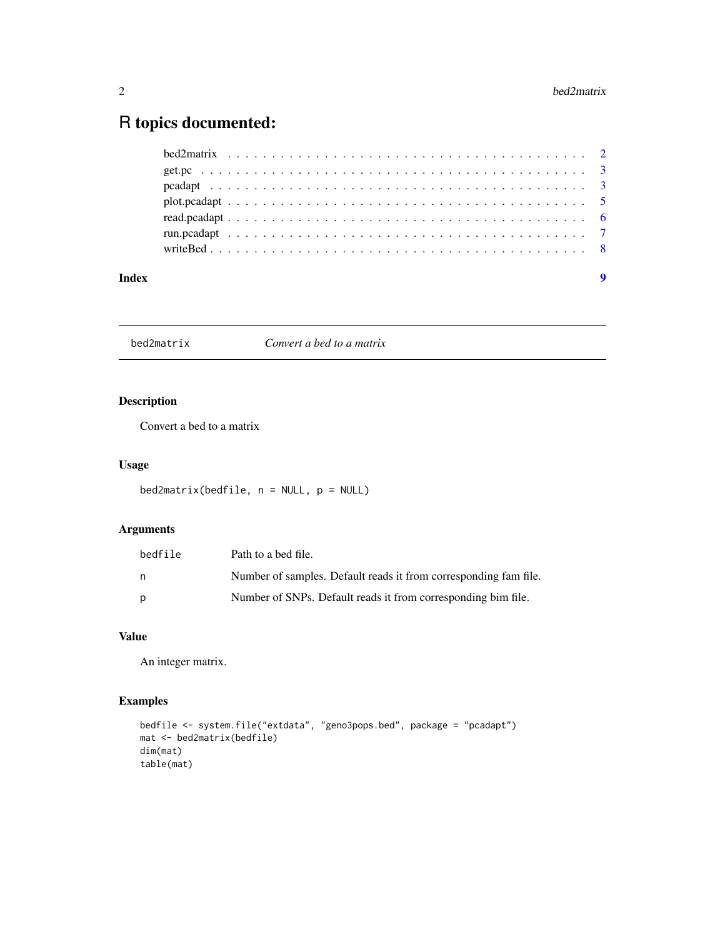# <span id="page-1-0"></span>R topics documented:

| Index | $\boldsymbol{9}$ |
|-------|------------------|

bed2matrix *Convert a bed to a matrix*

# Description

Convert a bed to a matrix

# Usage

```
bed2matrix(bedfile, n = NULL, p = NULL)
```
# Arguments

| bedfile | Path to a bed file.                                              |
|---------|------------------------------------------------------------------|
| n.      | Number of samples. Default reads it from corresponding fam file. |
| p       | Number of SNPs. Default reads it from corresponding bim file.    |

# Value

An integer matrix.

# Examples

```
bedfile <- system.file("extdata", "geno3pops.bed", package = "pcadapt")
mat <- bed2matrix(bedfile)
dim(mat)
table(mat)
```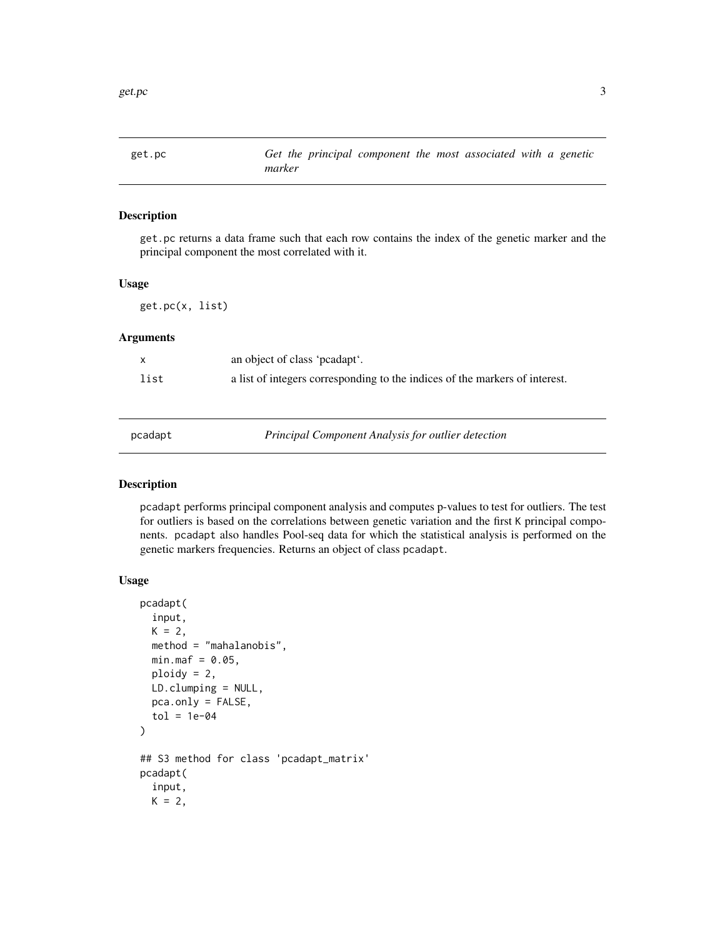<span id="page-2-0"></span>

# Description

get.pc returns a data frame such that each row contains the index of the genetic marker and the principal component the most correlated with it.

#### Usage

get.pc(x, list)

# Arguments

| X    | an object of class 'peadapt'.                                               |
|------|-----------------------------------------------------------------------------|
| list | a list of integers corresponding to the indices of the markers of interest. |

pcadapt *Principal Component Analysis for outlier detection*

## Description

pcadapt performs principal component analysis and computes p-values to test for outliers. The test for outliers is based on the correlations between genetic variation and the first K principal components. pcadapt also handles Pool-seq data for which the statistical analysis is performed on the genetic markers frequencies. Returns an object of class pcadapt.

#### Usage

```
pcadapt(
  input,
 K = 2,
 method = "mahalanobis",
 min.max = 0.05,ploidy = 2,
 LD.clumping = NULL,
 pca.only = FALSE,
  tol = 1e-04\lambda## S3 method for class 'pcadapt_matrix'
pcadapt(
  input,
 K = 2,
```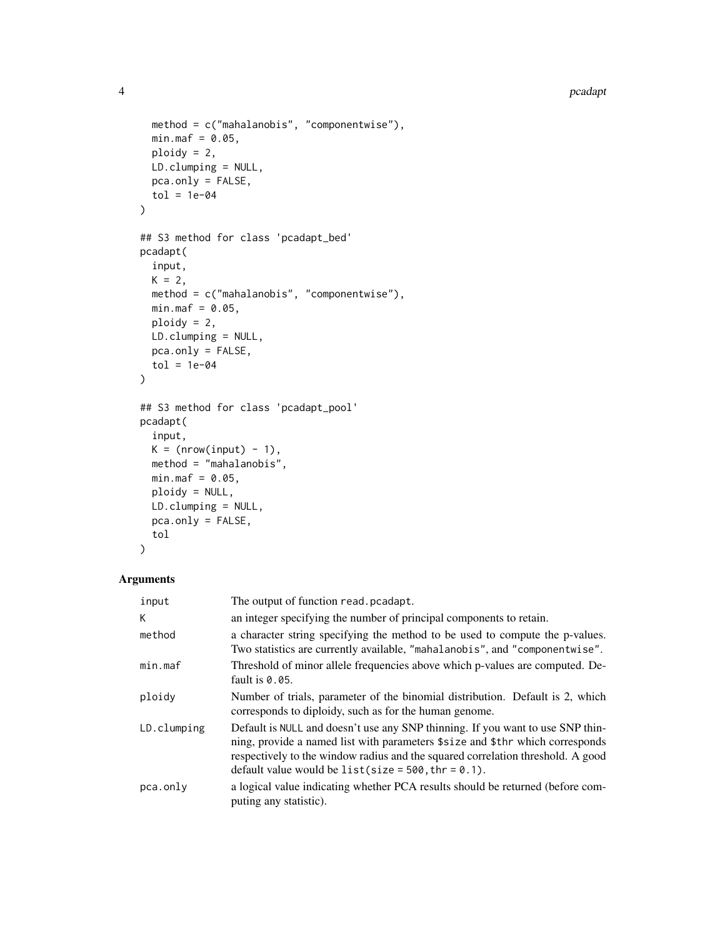```
method = c("mahalanobis", "componentwise"),
 min.max = 0.05,ploidy = 2,
 LD.clumping = NULL,
 pca.only = FALSE,
 tol = 1e-04\mathcal{L}## S3 method for class 'pcadapt_bed'
pcadapt(
  input,
 K = 2,method = c("mahalanobis", "componentwise"),
 min.max = 0.05,ploidy = 2,
 LD.clumping = NULL,
 pca.only = FALSE,
  tol = 1e-04\lambda## S3 method for class 'pcadapt_pool'
pcadapt(
  input,
 K = (nrow(input) - 1),method = "mahalanobis",
 min.max = 0.05,ploidy = NULL,
 LD.clumping = NULL,
 pca.only = FALSE,
  tol
```

```
)
```
# Arguments

| input       | The output of function read. pcadapt.                                                                                                                                                                                                                                                                        |
|-------------|--------------------------------------------------------------------------------------------------------------------------------------------------------------------------------------------------------------------------------------------------------------------------------------------------------------|
| K           | an integer specifying the number of principal components to retain.                                                                                                                                                                                                                                          |
| method      | a character string specifying the method to be used to compute the p-values.<br>Two statistics are currently available, "mahalanobis", and "componentwise".                                                                                                                                                  |
| min.max     | Threshold of minor allele frequencies above which p-values are computed. De-<br>fault is $0.05$ .                                                                                                                                                                                                            |
| ploidy      | Number of trials, parameter of the binomial distribution. Default is 2, which<br>corresponds to diploidy, such as for the human genome.                                                                                                                                                                      |
| LD.clumping | Default is NULL and doesn't use any SNP thinning. If you want to use SNP thin-<br>ning, provide a named list with parameters \$size and \$thr which corresponds<br>respectively to the window radius and the squared correlation threshold. A good<br>default value would be list(size = $500$ , thr = 0.1). |
| pca.only    | a logical value indicating whether PCA results should be returned (before com-<br>puting any statistic).                                                                                                                                                                                                     |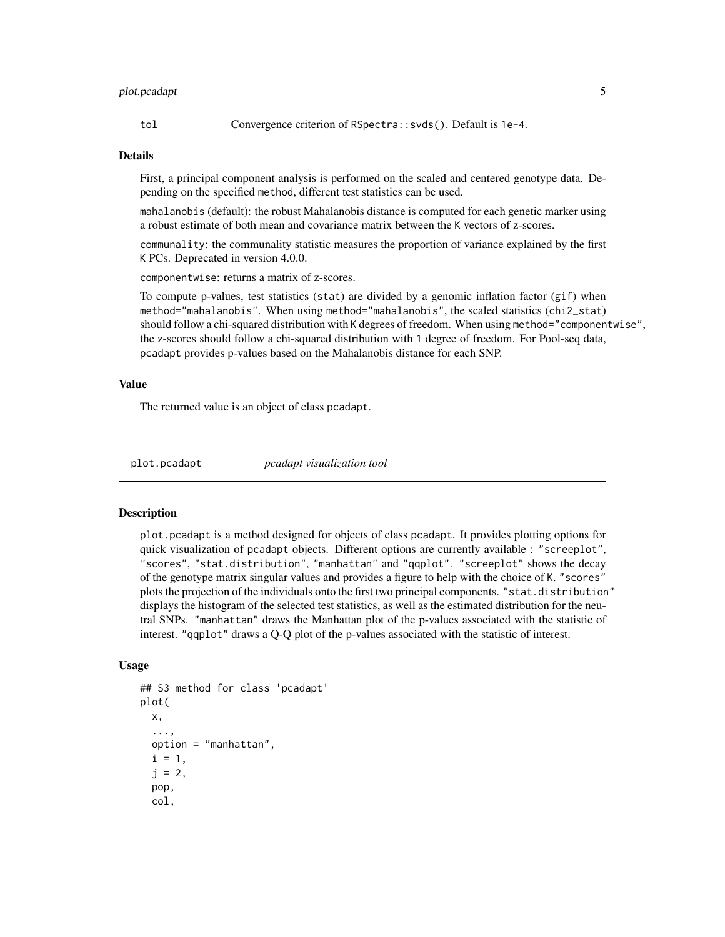# <span id="page-4-0"></span>plot.pcadapt 5

tol Convergence criterion of RSpectra::svds(). Default is 1e-4.

#### Details

First, a principal component analysis is performed on the scaled and centered genotype data. Depending on the specified method, different test statistics can be used.

mahalanobis (default): the robust Mahalanobis distance is computed for each genetic marker using a robust estimate of both mean and covariance matrix between the K vectors of z-scores.

communality: the communality statistic measures the proportion of variance explained by the first K PCs. Deprecated in version 4.0.0.

componentwise: returns a matrix of z-scores.

To compute p-values, test statistics (stat) are divided by a genomic inflation factor (gif) when method="mahalanobis". When using method="mahalanobis", the scaled statistics (chi2\_stat) should follow a chi-squared distribution with K degrees of freedom. When using method="componentwise", the z-scores should follow a chi-squared distribution with 1 degree of freedom. For Pool-seq data, pcadapt provides p-values based on the Mahalanobis distance for each SNP.

### Value

The returned value is an object of class pcadapt.

plot.pcadapt *pcadapt visualization tool*

#### **Description**

plot.pcadapt is a method designed for objects of class pcadapt. It provides plotting options for quick visualization of pcadapt objects. Different options are currently available : "screeplot", "scores", "stat.distribution", "manhattan" and "qqplot". "screeplot" shows the decay of the genotype matrix singular values and provides a figure to help with the choice of K. "scores" plots the projection of the individuals onto the first two principal components. "stat.distribution" displays the histogram of the selected test statistics, as well as the estimated distribution for the neutral SNPs. "manhattan" draws the Manhattan plot of the p-values associated with the statistic of interest. "qqplot" draws a Q-Q plot of the p-values associated with the statistic of interest.

### Usage

```
## S3 method for class 'pcadapt'
plot(
  x,
  ...,
 option = "manhattan",
  i = 1,
  j = 2,pop,
  col,
```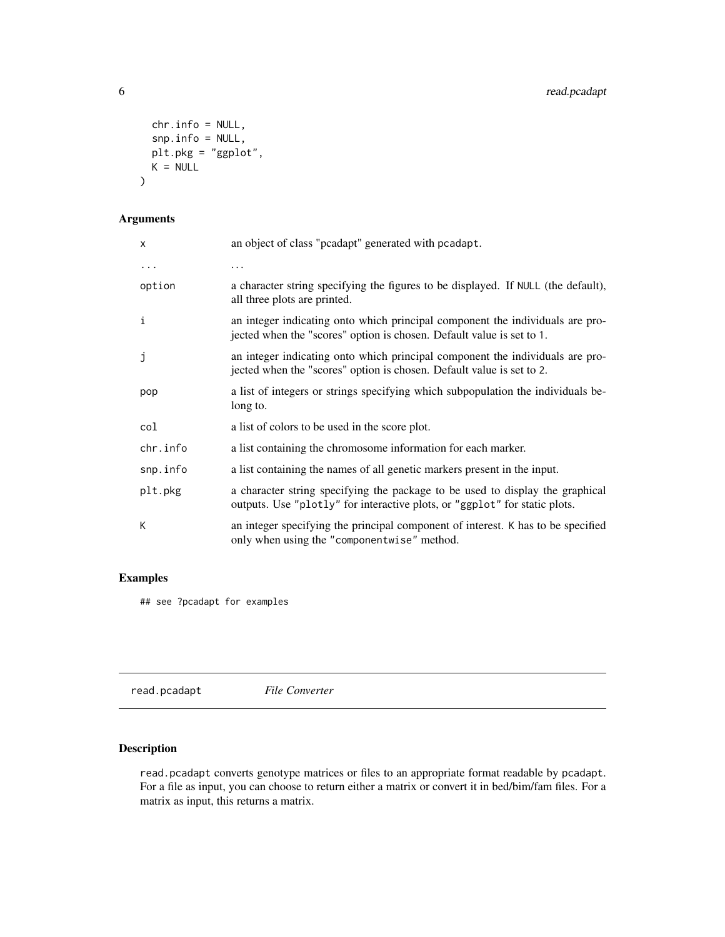```
chr.info = NULL,
 snp.info = NULL,
 plt.pkg = "ggplot",
 K = NULL)
```
# Arguments

| X        | an object of class "pcadapt" generated with pcadapt.                                                                                                        |
|----------|-------------------------------------------------------------------------------------------------------------------------------------------------------------|
| $\cdots$ | .                                                                                                                                                           |
| option   | a character string specifying the figures to be displayed. If NULL (the default),<br>all three plots are printed.                                           |
| i        | an integer indicating onto which principal component the individuals are pro-<br>jected when the "scores" option is chosen. Default value is set to 1.      |
| j        | an integer indicating onto which principal component the individuals are pro-<br>jected when the "scores" option is chosen. Default value is set to 2.      |
| pop      | a list of integers or strings specifying which subpopulation the individuals be-<br>long to.                                                                |
| col      | a list of colors to be used in the score plot.                                                                                                              |
| chr.info | a list containing the chromosome information for each marker.                                                                                               |
| snp.info | a list containing the names of all genetic markers present in the input.                                                                                    |
| plt.pkg  | a character string specifying the package to be used to display the graphical<br>outputs. Use "plotly" for interactive plots, or "ggplot" for static plots. |
| К        | an integer specifying the principal component of interest. K has to be specified<br>only when using the "componentwise" method.                             |

# Examples

## see ?pcadapt for examples

read.pcadapt *File Converter*

# Description

read.pcadapt converts genotype matrices or files to an appropriate format readable by pcadapt. For a file as input, you can choose to return either a matrix or convert it in bed/bim/fam files. For a matrix as input, this returns a matrix.

<span id="page-5-0"></span>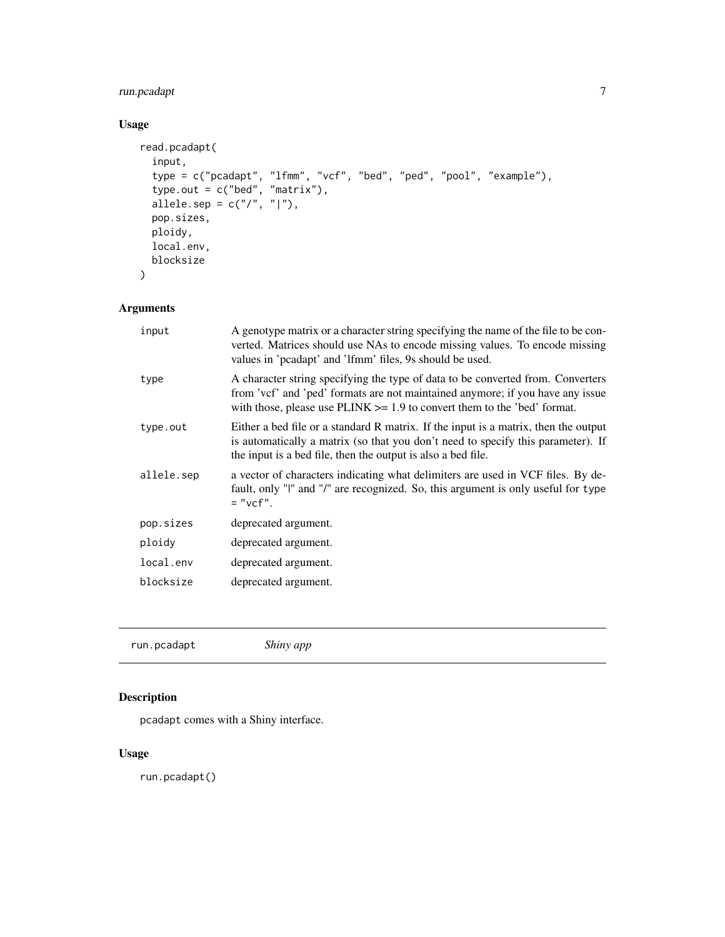# <span id="page-6-0"></span>run.pcadapt 7

# Usage

```
read.pcadapt(
  input,
  type = c("pcadapt", "lfmm", "vcf", "bed", "ped", "pool", "example"),
  type.out = c("bed", "matrix"),allele.sep = c("/", "|"),
 pop.sizes,
 ploidy,
 local.env,
 blocksize
\mathcal{L}
```
# Arguments

| input      | A genotype matrix or a character string specifying the name of the file to be con-<br>verted. Matrices should use NAs to encode missing values. To encode missing<br>values in 'pcadapt' and 'lfmm' files, 9s should be used.                    |
|------------|--------------------------------------------------------------------------------------------------------------------------------------------------------------------------------------------------------------------------------------------------|
| type       | A character string specifying the type of data to be converted from. Converters<br>from 'vcf' and 'ped' formats are not maintained anymore; if you have any issue<br>with those, please use $PLINK \ge 1.9$ to convert them to the 'bed' format. |
| type.out   | Either a bed file or a standard R matrix. If the input is a matrix, then the output<br>is automatically a matrix (so that you don't need to specify this parameter). If<br>the input is a bed file, then the output is also a bed file.          |
| allele.sep | a vector of characters indicating what delimiters are used in VCF files. By de-<br>fault, only "I" and "/" are recognized. So, this argument is only useful for type<br>$=$ "vcf".                                                               |
| pop.sizes  | deprecated argument.                                                                                                                                                                                                                             |
| ploidy     | deprecated argument.                                                                                                                                                                                                                             |
| local.env  | deprecated argument.                                                                                                                                                                                                                             |
| blocksize  | deprecated argument.                                                                                                                                                                                                                             |
|            |                                                                                                                                                                                                                                                  |

| Shiny app |  |  |
|-----------|--|--|
|-----------|--|--|

# Description

pcadapt comes with a Shiny interface.

# Usage

run.pcadapt()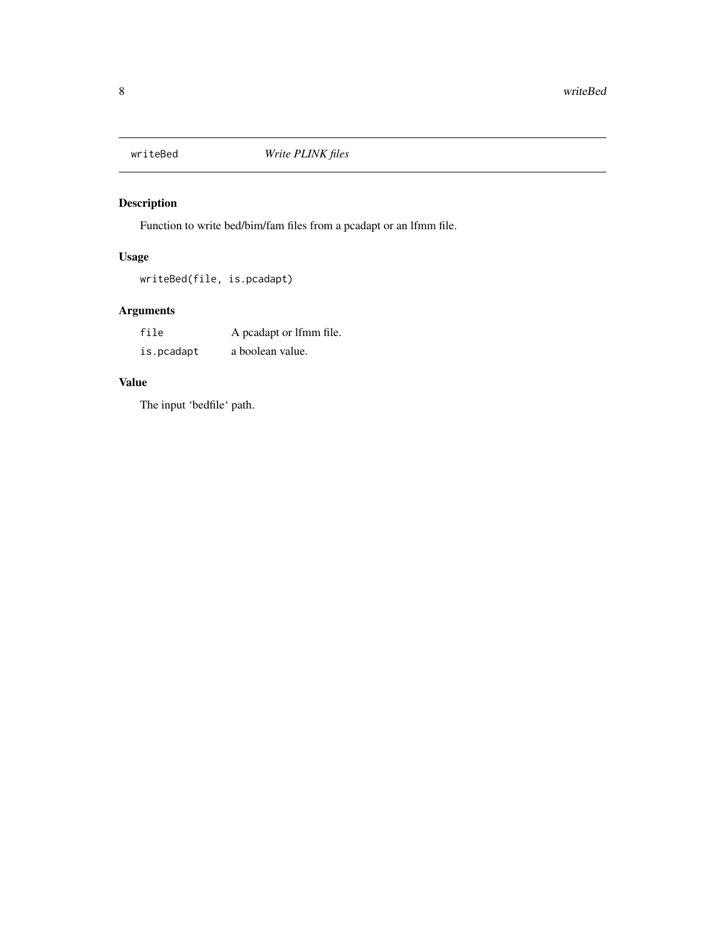<span id="page-7-0"></span>

# Description

Function to write bed/bim/fam files from a pcadapt or an lfmm file.

# Usage

writeBed(file, is.pcadapt)

# Arguments

| file       | A peadapt or lfmm file. |
|------------|-------------------------|
| is.pcadapt | a boolean value.        |

# Value

The input 'bedfile' path.